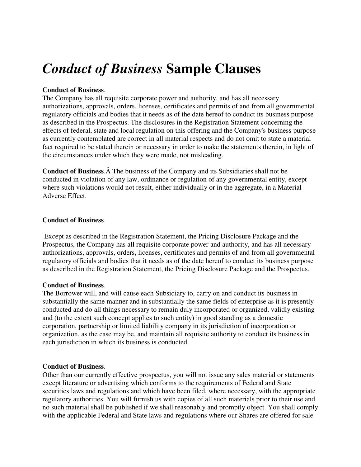# *Conduct of Business* **Sample Clauses**

## **Conduct of Business**.

The Company has all requisite corporate power and authority, and has all necessary authorizations, approvals, orders, licenses, certificates and permits of and from all governmental regulatory officials and bodies that it needs as of the date hereof to conduct its business purpose as described in the Prospectus. The disclosures in the Registration Statement concerning the effects of federal, state and local regulation on this offering and the Company's business purpose as currently contemplated are correct in all material respects and do not omit to state a material fact required to be stated therein or necessary in order to make the statements therein, in light of the circumstances under which they were made, not misleading.

**Conduct of Business.** A The business of the Company and its Subsidiaries shall not be conducted in violation of any law, ordinance or regulation of any governmental entity, except where such violations would not result, either individually or in the aggregate, in a Material Adverse Effect.

### **Conduct of Business**.

 Except as described in the Registration Statement, the Pricing Disclosure Package and the Prospectus, the Company has all requisite corporate power and authority, and has all necessary authorizations, approvals, orders, licenses, certificates and permits of and from all governmental regulatory officials and bodies that it needs as of the date hereof to conduct its business purpose as described in the Registration Statement, the Pricing Disclosure Package and the Prospectus.

### **Conduct of Business**.

The Borrower will, and will cause each Subsidiary to, carry on and conduct its business in substantially the same manner and in substantially the same fields of enterprise as it is presently conducted and do all things necessary to remain duly incorporated or organized, validly existing and (to the extent such concept applies to such entity) in good standing as a domestic corporation, partnership or limited liability company in its jurisdiction of incorporation or organization, as the case may be, and maintain all requisite authority to conduct its business in each jurisdiction in which its business is conducted.

### **Conduct of Business**.

Other than our currently effective prospectus, you will not issue any sales material or statements except literature or advertising which conforms to the requirements of Federal and State securities laws and regulations and which have been filed, where necessary, with the appropriate regulatory authorities. You will furnish us with copies of all such materials prior to their use and no such material shall be published if we shall reasonably and promptly object. You shall comply with the applicable Federal and State laws and regulations where our Shares are offered for sale